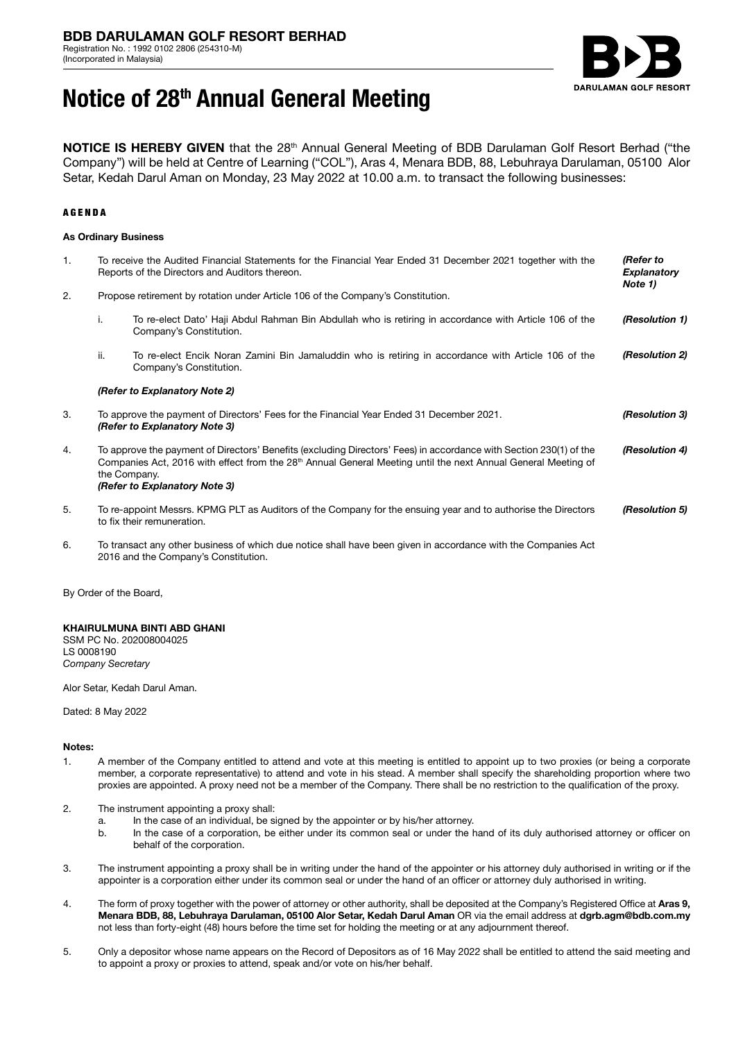

# **Notice of 28th Annual General Meeting**

**NOTICE IS HEREBY GIVEN** that the 28<sup>th</sup> Annual General Meeting of BDB Darulaman Golf Resort Berhad ("the Company") will be held at Centre of Learning ("COL"), Aras 4, Menara BDB, 88, Lebuhraya Darulaman, 05100 Alor Setar, Kedah Darul Aman on Monday, 23 May 2022 at 10.00 a.m. to transact the following businesses:

## AGENDA

### **As Ordinary Business**

| 1.               |                                                                                                                           | To receive the Audited Financial Statements for the Financial Year Ended 31 December 2021 together with the<br>Reports of the Directors and Auditors thereon.                                                                                                                                    | (Refer to<br><b>Explanatory</b><br>Note 1) |  |  |
|------------------|---------------------------------------------------------------------------------------------------------------------------|--------------------------------------------------------------------------------------------------------------------------------------------------------------------------------------------------------------------------------------------------------------------------------------------------|--------------------------------------------|--|--|
| 2.               | Propose retirement by rotation under Article 106 of the Company's Constitution.                                           |                                                                                                                                                                                                                                                                                                  |                                            |  |  |
|                  | i.                                                                                                                        | To re-elect Dato' Haji Abdul Rahman Bin Abdullah who is retiring in accordance with Article 106 of the<br>Company's Constitution.                                                                                                                                                                | (Resolution 1)                             |  |  |
|                  | ii.                                                                                                                       | To re-elect Encik Noran Zamini Bin Jamaluddin who is retiring in accordance with Article 106 of the<br>Company's Constitution.                                                                                                                                                                   | (Resolution 2)                             |  |  |
|                  | (Refer to Explanatory Note 2)                                                                                             |                                                                                                                                                                                                                                                                                                  |                                            |  |  |
| 3.               | To approve the payment of Directors' Fees for the Financial Year Ended 31 December 2021.<br>(Refer to Explanatory Note 3) |                                                                                                                                                                                                                                                                                                  |                                            |  |  |
| $\overline{4}$ . |                                                                                                                           | To approve the payment of Directors' Benefits (excluding Directors' Fees) in accordance with Section 230(1) of the<br>Companies Act, 2016 with effect from the 28 <sup>th</sup> Annual General Meeting until the next Annual General Meeting of<br>the Company.<br>(Refer to Explanatory Note 3) | (Resolution 4)                             |  |  |
| 5.               |                                                                                                                           | To re-appoint Messrs. KPMG PLT as Auditors of the Company for the ensuing year and to authorise the Directors<br>to fix their remuneration.                                                                                                                                                      | (Resolution 5)                             |  |  |
| 6.               |                                                                                                                           | To transact any other business of which due notice shall have been given in accordance with the Companies Act<br>2016 and the Company's Constitution.                                                                                                                                            |                                            |  |  |

By Order of the Board,

## **KHAIRULMUNA BINTI ABD GHANI**

SSM PC No. 202008004025 LS 0008190 *Company Secretary*

Alor Setar, Kedah Darul Aman.

Dated: 8 May 2022

#### **Notes:**

- 1. A member of the Company entitled to attend and vote at this meeting is entitled to appoint up to two proxies (or being a corporate member, a corporate representative) to attend and vote in his stead. A member shall specify the shareholding proportion where two proxies are appointed. A proxy need not be a member of the Company. There shall be no restriction to the qualification of the proxy.
- 2. The instrument appointing a proxy shall:
	- a. In the case of an individual, be signed by the appointer or by his/her attorney.<br>b. In the case of a corporation, be either under its common seal or under the h
	- In the case of a corporation, be either under its common seal or under the hand of its duly authorised attorney or officer on behalf of the corporation.
- 3. The instrument appointing a proxy shall be in writing under the hand of the appointer or his attorney duly authorised in writing or if the appointer is a corporation either under its common seal or under the hand of an officer or attorney duly authorised in writing.
- 4. The form of proxy together with the power of attorney or other authority, shall be deposited at the Company's Registered Office at **Aras 9, Menara BDB, 88, Lebuhraya Darulaman, 05100 Alor Setar, Kedah Darul Aman** OR via the email address at **dgrb.agm@bdb.com.my** not less than forty-eight (48) hours before the time set for holding the meeting or at any adjournment thereof.
- 5. Only a depositor whose name appears on the Record of Depositors as of 16 May 2022 shall be entitled to attend the said meeting and to appoint a proxy or proxies to attend, speak and/or vote on his/her behalf.